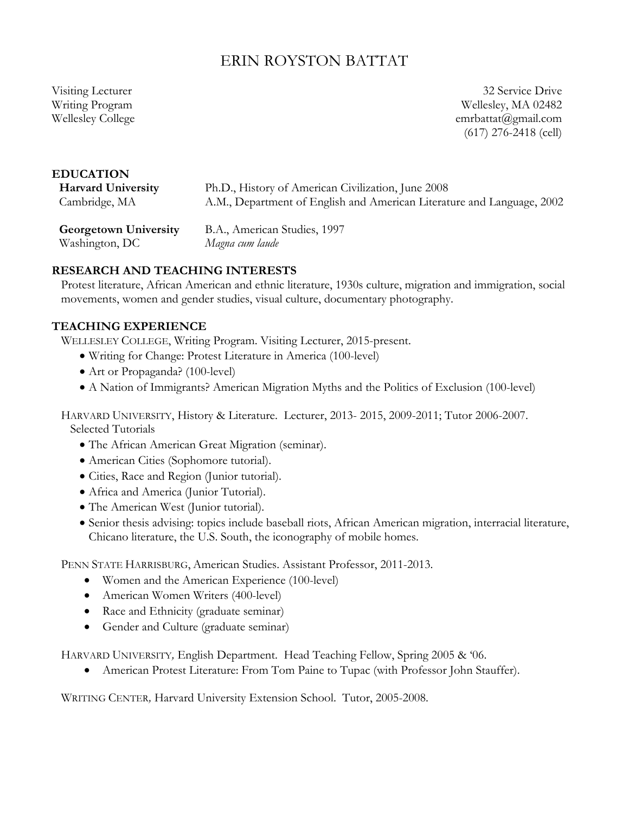# ERIN ROYSTON BATTAT

Visiting Lecturer Writing Program Wellesley College

32 Service Drive Wellesley, MA 02482 emrbattat@gmail.com (617) 276-2418 (cell)

#### **EDUCATION**

**Harvard University** Cambridge, MA

Ph.D., History of American Civilization, June 2008 A.M., Department of English and American Literature and Language, 2002

**Georgetown University** Washington, DC B.A., American Studies, 1997 *Magna cum laude*

### **RESEARCH AND TEACHING INTERESTS**

Protest literature, African American and ethnic literature, 1930s culture, migration and immigration, social movements, women and gender studies, visual culture, documentary photography.

#### **TEACHING EXPERIENCE**

WELLESLEY COLLEGE, Writing Program. Visiting Lecturer, 2015-present.

- Writing for Change: Protest Literature in America (100-level)
- Art or Propaganda? (100-level)
- A Nation of Immigrants? American Migration Myths and the Politics of Exclusion (100-level)

HARVARD UNIVERSITY, History & Literature. Lecturer, 2013- 2015, 2009-2011; Tutor 2006-2007. Selected Tutorials

- The African American Great Migration (seminar).
- American Cities (Sophomore tutorial).
- Cities, Race and Region (Junior tutorial).
- Africa and America (Junior Tutorial).
- The American West (Junior tutorial).
- Senior thesis advising: topics include baseball riots, African American migration, interracial literature, Chicano literature, the U.S. South, the iconography of mobile homes.

PENN STATE HARRISBURG, American Studies. Assistant Professor, 2011-2013.

- Women and the American Experience (100-level)
- American Women Writers (400-level)
- Race and Ethnicity (graduate seminar)
- Gender and Culture (graduate seminar)

HARVARD UNIVERSITY*,* English Department. Head Teaching Fellow, Spring 2005 & '06.

• American Protest Literature: From Tom Paine to Tupac (with Professor John Stauffer).

WRITING CENTER*,* Harvard University Extension School. Tutor, 2005-2008.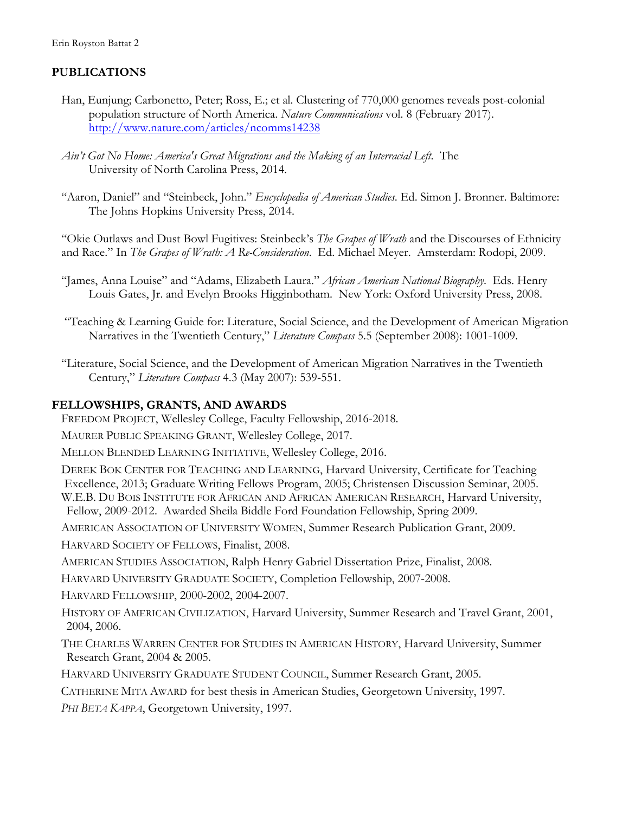### **PUBLICATIONS**

- Han, Eunjung; Carbonetto, Peter; Ross, E.; et al. Clustering of 770,000 genomes reveals post-colonial population structure of North America. *Nature Communications* vol. 8 (February 2017). http://www.nature.com/articles/ncomms14238
- *Ain't Got No Home: America's Great Migrations and the Making of an Interracial Left*. The University of North Carolina Press, 2014.
- "Aaron, Daniel" and "Steinbeck, John." *Encyclopedia of American Studies*. Ed. Simon J. Bronner. Baltimore: The Johns Hopkins University Press, 2014.

"Okie Outlaws and Dust Bowl Fugitives: Steinbeck's *The Grapes of Wrath* and the Discourses of Ethnicity and Race." In *The Grapes of Wrath: A Re-Consideration*. Ed. Michael Meyer. Amsterdam: Rodopi, 2009.

- "James, Anna Louise" and "Adams, Elizabeth Laura." *African American National Biography*. Eds. Henry Louis Gates, Jr. and Evelyn Brooks Higginbotham. New York: Oxford University Press, 2008.
- "Teaching & Learning Guide for: Literature, Social Science, and the Development of American Migration Narratives in the Twentieth Century," *Literature Compass* 5.5 (September 2008): 1001-1009.
- "Literature, Social Science, and the Development of American Migration Narratives in the Twentieth Century," *Literature Compass* 4.3 (May 2007): 539-551.

#### **FELLOWSHIPS, GRANTS, AND AWARDS**

FREEDOM PROJECT, Wellesley College, Faculty Fellowship, 2016-2018.

MAURER PUBLIC SPEAKING GRANT, Wellesley College, 2017.

MELLON BLENDED LEARNING INITIATIVE, Wellesley College, 2016.

DEREK BOK CENTER FOR TEACHING AND LEARNING, Harvard University, Certificate for Teaching Excellence, 2013; Graduate Writing Fellows Program, 2005; Christensen Discussion Seminar, 2005. W.E.B. DU BOIS INSTITUTE FOR AFRICAN AND AFRICAN AMERICAN RESEARCH, Harvard University, Fellow, 2009-2012. Awarded Sheila Biddle Ford Foundation Fellowship, Spring 2009.

AMERICAN ASSOCIATION OF UNIVERSITY WOMEN, Summer Research Publication Grant, 2009.

HARVARD SOCIETY OF FELLOWS, Finalist, 2008.

AMERICAN STUDIES ASSOCIATION, Ralph Henry Gabriel Dissertation Prize, Finalist, 2008.

HARVARD UNIVERSITY GRADUATE SOCIETY, Completion Fellowship, 2007-2008.

HARVARD FELLOWSHIP, 2000-2002, 2004-2007.

HISTORY OF AMERICAN CIVILIZATION, Harvard University, Summer Research and Travel Grant, 2001, 2004, 2006.

THE CHARLES WARREN CENTER FOR STUDIES IN AMERICAN HISTORY, Harvard University, Summer Research Grant, 2004 & 2005.

HARVARD UNIVERSITY GRADUATE STUDENT COUNCIL, Summer Research Grant, 2005.

CATHERINE MITA AWARD for best thesis in American Studies, Georgetown University, 1997.

*PHI BETA KAPPA*, Georgetown University, 1997.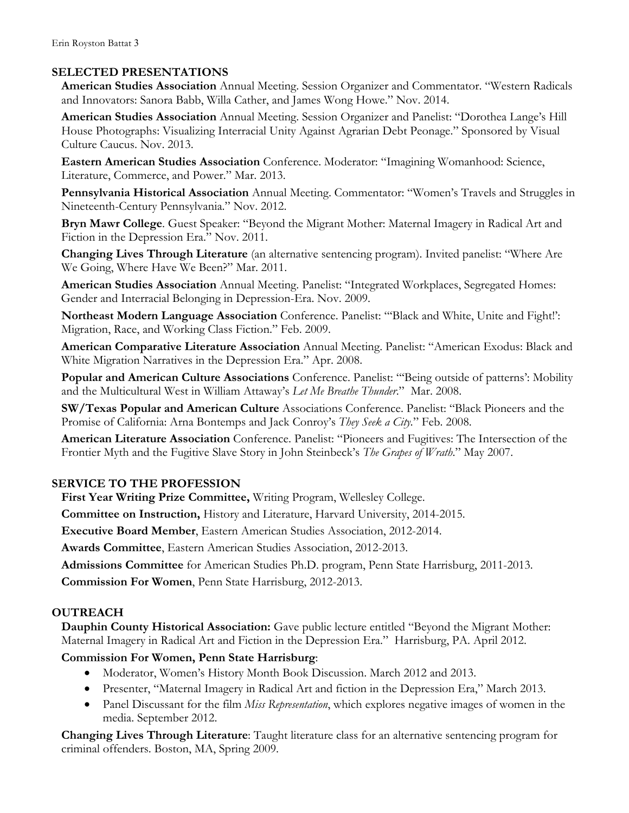### **SELECTED PRESENTATIONS**

**American Studies Association** Annual Meeting. Session Organizer and Commentator. "Western Radicals and Innovators: Sanora Babb, Willa Cather, and James Wong Howe." Nov. 2014.

**American Studies Association** Annual Meeting. Session Organizer and Panelist: "Dorothea Lange's Hill House Photographs: Visualizing Interracial Unity Against Agrarian Debt Peonage." Sponsored by Visual Culture Caucus. Nov. 2013.

**Eastern American Studies Association** Conference. Moderator: "Imagining Womanhood: Science, Literature, Commerce, and Power." Mar. 2013.

**Pennsylvania Historical Association** Annual Meeting. Commentator: "Women's Travels and Struggles in Nineteenth-Century Pennsylvania." Nov. 2012.

**Bryn Mawr College**. Guest Speaker: "Beyond the Migrant Mother: Maternal Imagery in Radical Art and Fiction in the Depression Era." Nov. 2011.

**Changing Lives Through Literature** (an alternative sentencing program). Invited panelist: "Where Are We Going, Where Have We Been?" Mar. 2011.

**American Studies Association** Annual Meeting. Panelist: "Integrated Workplaces, Segregated Homes: Gender and Interracial Belonging in Depression-Era. Nov. 2009.

**Northeast Modern Language Association** Conference. Panelist: "'Black and White, Unite and Fight!': Migration, Race, and Working Class Fiction." Feb. 2009.

**American Comparative Literature Association** Annual Meeting. Panelist: "American Exodus: Black and White Migration Narratives in the Depression Era." Apr. 2008.

**Popular and American Culture Associations** Conference. Panelist: "'Being outside of patterns': Mobility and the Multicultural West in William Attaway's *Let Me Breathe Thunder*." Mar. 2008.

**SW/Texas Popular and American Culture** Associations Conference. Panelist: "Black Pioneers and the Promise of California: Arna Bontemps and Jack Conroy's *They Seek a City.*" Feb. 2008.

**American Literature Association** Conference. Panelist: "Pioneers and Fugitives: The Intersection of the Frontier Myth and the Fugitive Slave Story in John Steinbeck's *The Grapes of Wrath*." May 2007.

## **SERVICE TO THE PROFESSION**

**First Year Writing Prize Committee,** Writing Program, Wellesley College.

**Committee on Instruction,** History and Literature, Harvard University, 2014-2015.

**Executive Board Member**, Eastern American Studies Association, 2012-2014.

**Awards Committee**, Eastern American Studies Association, 2012-2013.

**Admissions Committee** for American Studies Ph.D. program, Penn State Harrisburg, 2011-2013.

**Commission For Women**, Penn State Harrisburg, 2012-2013.

## **OUTREACH**

**Dauphin County Historical Association:** Gave public lecture entitled "Beyond the Migrant Mother: Maternal Imagery in Radical Art and Fiction in the Depression Era." Harrisburg, PA. April 2012.

## **Commission For Women, Penn State Harrisburg**:

- Moderator, Women's History Month Book Discussion. March 2012 and 2013.
- Presenter, "Maternal Imagery in Radical Art and fiction in the Depression Era," March 2013.
- Panel Discussant for the film *Miss Representation*, which explores negative images of women in the media. September 2012.

**Changing Lives Through Literature**: Taught literature class for an alternative sentencing program for criminal offenders. Boston, MA, Spring 2009.